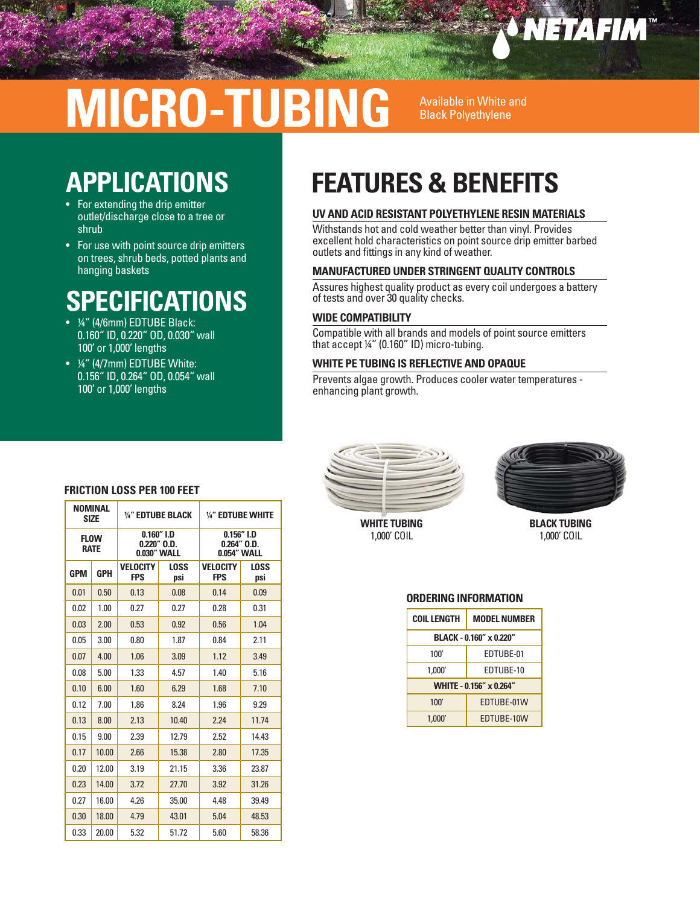## *SNETAFIM*

# **MICRO-TUBING** Available in White and

### **APPLICATIONS**

- For extending the drip emitter outlet/discharge close to a tree or shrub
- For use with point source drip emitters on trees, shrub beds, potted plants and hanging baskets

### **SPECIFICATIONS**

- ¼" (4/6mm) EDTUBE Black: 0.160" ID, 0.220" OD, 0.030" wall 100' or 1,000' lengths
- ¼" (4/7mm) EDTUBE White: 0.156" ID, 0.264" OD, 0.054" wall 100' or 1,000' lengths

### **FEATURES & BENEFITS**

#### **UV AND ACID RESISTANT POLYETHYLENE RESIN MATERIALS**

Withstands hot and cold weather better than vinyl. Provides excellent hold characteristics on point source drip emitter barbed outlets and fittings in any kind of weather.

#### **MANUFACTURED UNDER STRINGENT QUALITY CONTROLS**

Assures highest quality product as every coil undergoes a battery of tests and over 30 quality checks.

#### **WIDE COMPATIBILITY**

Compatible with all brands and models of point source emitters that accept ¼" (0.160" ID) micro-tubing.

#### **WHITE PE TUBING IS REFLECTIVE AND OPAQUE**

Prevents algae growth. Produces cooler water temperatures enhancing plant growth.



**WHITE TUBING** 1,000' COIL



**BLACK TUBING** 1,000' COIL

#### **ORDERING INFORMATION**

| <b>COIL LENGTH</b>      | <b>MODEL NUMBER</b> |  |  |  |
|-------------------------|---------------------|--|--|--|
| BLACK - 0.160" x 0.220" |                     |  |  |  |
| 100'                    | EDTUBE-01           |  |  |  |
| 1.000'                  | EDTUBE-10           |  |  |  |
| WHITE - 0.156" x 0.264" |                     |  |  |  |
| 100'                    | EDTUBE-01W          |  |  |  |
| 1.000'                  | EDTUBE-10W          |  |  |  |

#### **FRICTION LOSS PER 100 FEET**

| <b>NOMINAL</b><br><b>SIZE</b> |            | 1/4" EDTUBE BLACK                               |             | 1/4" EDTUBE WHITE                                |                    |
|-------------------------------|------------|-------------------------------------------------|-------------|--------------------------------------------------|--------------------|
| <b>FLOW</b><br><b>RATE</b>    |            | $0.160''$ I.D<br>$0.220"$ $0.D.$<br>0.030" WALL |             | $0.156''$ I.D<br>$0.264''$ $0.D.$<br>0.054" WALL |                    |
| <b>GPM</b>                    | <b>GPH</b> | <b>VELOCITY</b><br><b>FPS</b>                   | LOSS<br>psi | <b>VELOCITY</b><br><b>FPS</b>                    | <b>LOSS</b><br>psi |
| 0.01                          | 0.50       | 0.13                                            | 0.08        | 0.14                                             | 0.09               |
| 0.02                          | 1.00       | 0.27                                            | 0.27        | 0.28                                             | 0.31               |
| 0.03                          | 2.00       | 0.53                                            | 0.92        | 0.56                                             | 1.04               |
| 0.05                          | 3.00       | 0.80                                            | 1.87        | 0.84                                             | 2.11               |
| 0.07                          | 4.00       | 1.06                                            | 3.09        | 1.12                                             | 3.49               |
| 0.08                          | 5.00       | 1.33                                            | 4.57        | 1.40                                             | 5.16               |
| 0.10                          | 6.00       | 1.60                                            | 6.29        | 1.68                                             | 7.10               |
| 0.12                          | 7.00       | 1.86                                            | 8.24        | 1.96                                             | 9.29               |
| 0.13                          | 8.00       | 2.13                                            | 10.40       | 2.24                                             | 11.74              |
| 0.15                          | 9.00       | 2.39                                            | 12.79       | 2.52                                             | 14.43              |
| 0.17                          | 10.00      | 2.66                                            | 15.38       | 2.80                                             | 17.35              |
| 0.20                          | 12.00      | 3.19                                            | 21.15       | 3.36                                             | 23.87              |
| 0.23                          | 14.00      | 3.72                                            | 27.70       | 3.92                                             | 31.26              |
| 0.27                          | 16.00      | 4.26                                            | 35.00       | 4.48                                             | 39.49              |
| 0.30                          | 18.00      | 4.79                                            | 43.01       | 5.04                                             | 48.53              |
| 0.33                          | 20.00      | 5.32                                            | 51.72       | 5.60                                             | 58.36              |